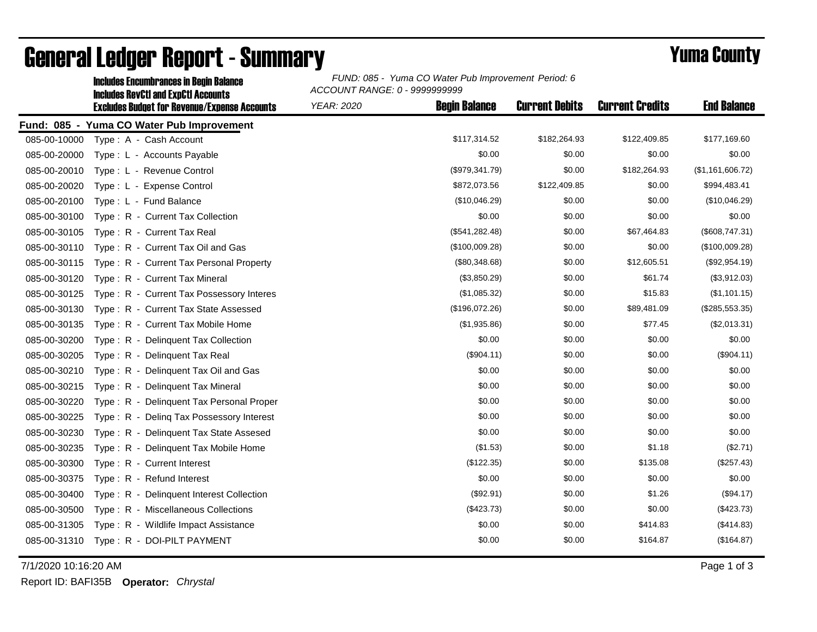|              | <b>Includes Encumbrances in Begin Balance</b>                                                     | FUND: 085 - Yuma CO Water Pub Improvement Period: 6<br>ACCOUNT RANGE: 0 - 9999999999 |                      |                       |                        |                    |  |
|--------------|---------------------------------------------------------------------------------------------------|--------------------------------------------------------------------------------------|----------------------|-----------------------|------------------------|--------------------|--|
|              | <b>Includes RevCtI and ExpCtI Accounts</b><br><b>Excludes Budget for Revenue/Expense Accounts</b> | <b>YEAR: 2020</b>                                                                    | <b>Begin Balance</b> | <b>Current Debits</b> | <b>Current Credits</b> | <b>End Balance</b> |  |
|              | Fund: 085 - Yuma CO Water Pub Improvement                                                         |                                                                                      |                      |                       |                        |                    |  |
| 085-00-10000 | Type: A - Cash Account                                                                            |                                                                                      | \$117,314.52         | \$182,264.93          | \$122,409.85           | \$177,169.60       |  |
| 085-00-20000 | Type: L - Accounts Payable                                                                        |                                                                                      | \$0.00               | \$0.00                | \$0.00                 | \$0.00             |  |
| 085-00-20010 | Type: L - Revenue Control                                                                         |                                                                                      | (\$979,341.79)       | \$0.00                | \$182,264.93           | (\$1,161,606.72)   |  |
| 085-00-20020 | Type: L - Expense Control                                                                         |                                                                                      | \$872,073.56         | \$122,409.85          | \$0.00                 | \$994,483.41       |  |
| 085-00-20100 | Type: L - Fund Balance                                                                            |                                                                                      | (\$10,046.29)        | \$0.00                | \$0.00                 | (\$10,046.29)      |  |
| 085-00-30100 | Type: R - Current Tax Collection                                                                  |                                                                                      | \$0.00               | \$0.00                | \$0.00                 | \$0.00             |  |
| 085-00-30105 | Type: R - Current Tax Real                                                                        |                                                                                      | (\$541, 282.48)      | \$0.00                | \$67,464.83            | (\$608,747.31)     |  |
| 085-00-30110 | Type: R - Current Tax Oil and Gas                                                                 |                                                                                      | (\$100,009.28)       | \$0.00                | \$0.00                 | (\$100,009.28)     |  |
| 085-00-30115 | Type: R - Current Tax Personal Property                                                           |                                                                                      | (\$80,348.68)        | \$0.00                | \$12,605.51            | (\$92,954.19)      |  |
| 085-00-30120 | Type: R - Current Tax Mineral                                                                     |                                                                                      | (\$3,850.29)         | \$0.00                | \$61.74                | (\$3,912.03)       |  |
| 085-00-30125 | Type: R - Current Tax Possessory Interes                                                          |                                                                                      | (\$1,085.32)         | \$0.00                | \$15.83                | (\$1,101.15)       |  |
| 085-00-30130 | Type: R - Current Tax State Assessed                                                              |                                                                                      | (\$196,072.26)       | \$0.00                | \$89,481.09            | (\$285,553.35)     |  |
| 085-00-30135 | Type: R - Current Tax Mobile Home                                                                 |                                                                                      | (\$1,935.86)         | \$0.00                | \$77.45                | (\$2,013.31)       |  |
| 085-00-30200 | Type: R - Delinquent Tax Collection                                                               |                                                                                      | \$0.00               | \$0.00                | \$0.00                 | \$0.00             |  |
| 085-00-30205 | Type: R - Delinquent Tax Real                                                                     |                                                                                      | (\$904.11)           | \$0.00                | \$0.00                 | (\$904.11)         |  |
| 085-00-30210 | Type: R - Delinquent Tax Oil and Gas                                                              |                                                                                      | \$0.00               | \$0.00                | \$0.00                 | \$0.00             |  |
| 085-00-30215 | Type: R - Delinquent Tax Mineral                                                                  |                                                                                      | \$0.00               | \$0.00                | \$0.00                 | \$0.00             |  |
| 085-00-30220 | Type: R - Delinquent Tax Personal Proper                                                          |                                                                                      | \$0.00               | \$0.00                | \$0.00                 | \$0.00             |  |
| 085-00-30225 | Type: R - Deling Tax Possessory Interest                                                          |                                                                                      | \$0.00               | \$0.00                | \$0.00                 | \$0.00             |  |
| 085-00-30230 | Type: R - Delinquent Tax State Assesed                                                            |                                                                                      | \$0.00               | \$0.00                | \$0.00                 | \$0.00             |  |
| 085-00-30235 | Type: R - Delinquent Tax Mobile Home                                                              |                                                                                      | (\$1.53)             | \$0.00                | \$1.18                 | (\$2.71)           |  |
| 085-00-30300 | Type: R - Current Interest                                                                        |                                                                                      | (\$122.35)           | \$0.00                | \$135.08               | (\$257.43)         |  |
| 085-00-30375 | Type: R - Refund Interest                                                                         |                                                                                      | \$0.00               | \$0.00                | \$0.00                 | \$0.00             |  |
| 085-00-30400 | Type: R - Delinquent Interest Collection                                                          |                                                                                      | (\$92.91)            | \$0.00                | \$1.26                 | (\$94.17)          |  |
| 085-00-30500 | Type: R - Miscellaneous Collections                                                               |                                                                                      | (\$423.73)           | \$0.00                | \$0.00                 | (\$423.73)         |  |
| 085-00-31305 | Type: R - Wildlife Impact Assistance                                                              |                                                                                      | \$0.00               | \$0.00                | \$414.83               | (\$414.83)         |  |
| 085-00-31310 | Type: R - DOI-PILT PAYMENT                                                                        |                                                                                      | \$0.00               | \$0.00                | \$164.87               | (\$164.87)         |  |

## General Ledger Report - Summary **Example 2018** Yuma County

7/1/2020 10:16:20 AM Page 1 of 3

Report ID: BAFI35B **Operator:** *Chrystal*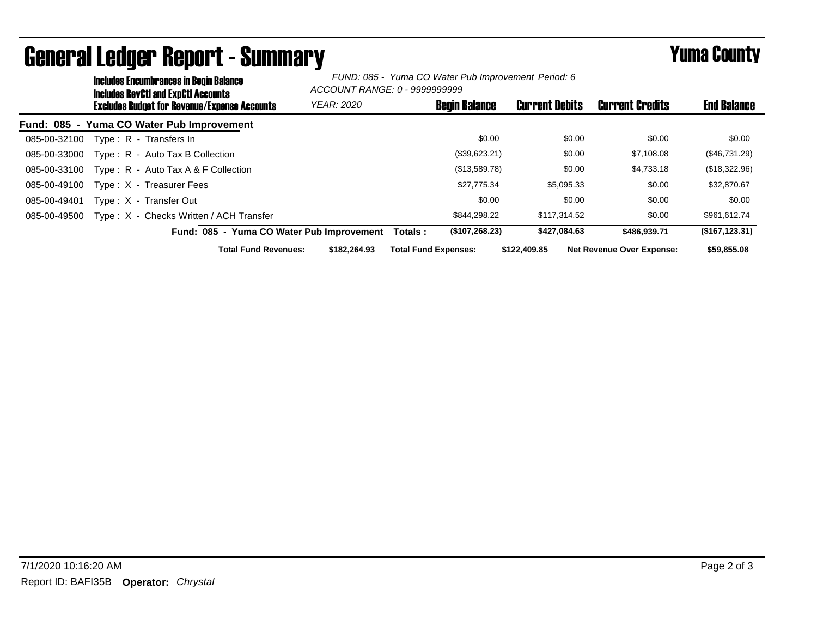|              | <b>Includes Encumbrances in Begin Balance</b><br><b>Includes RevCtI and ExpCtI Accounts</b> |                   | FUND: 085 - Yuma CO Water Pub Improvement Period: 6<br>ACCOUNT RANGE: 0 - 9999999999 |                             |                       |                                  |                    |
|--------------|---------------------------------------------------------------------------------------------|-------------------|--------------------------------------------------------------------------------------|-----------------------------|-----------------------|----------------------------------|--------------------|
|              | <b>Excludes Budget for Revenue/Expense Accounts</b>                                         | <b>YEAR: 2020</b> |                                                                                      | <b>Begin Balance</b>        | <b>Current Debits</b> | <b>Current Credits</b>           | <b>End Balance</b> |
|              | Fund: 085 - Yuma CO Water Pub Improvement                                                   |                   |                                                                                      |                             |                       |                                  |                    |
| 085-00-32100 | Type: R - Transfers In                                                                      |                   |                                                                                      | \$0.00                      | \$0.00                | \$0.00                           | \$0.00             |
| 085-00-33000 | Type: R - Auto Tax B Collection                                                             |                   |                                                                                      | (\$39,623.21)               | \$0.00                | \$7,108.08                       | (\$46,731.29)      |
| 085-00-33100 | Type : $R -$ Auto Tax A & F Collection                                                      |                   |                                                                                      | (\$13,589.78)               | \$0.00                | \$4,733.18                       | (\$18,322.96)      |
| 085-00-49100 | Type: X - Treasurer Fees                                                                    |                   |                                                                                      | \$27,775.34                 | \$5,095.33            | \$0.00                           | \$32,870.67        |
| 085-00-49401 | Type: X - Transfer Out                                                                      |                   |                                                                                      | \$0.00                      | \$0.00                | \$0.00                           | \$0.00             |
| 085-00-49500 | Type: X - Checks Written / ACH Transfer                                                     |                   |                                                                                      | \$844.298.22                | \$117.314.52          | \$0.00                           | \$961,612.74       |
|              | Fund: 085 - Yuma CO Water Pub Improvement                                                   |                   | Totals :                                                                             | (\$107, 268.23)             | \$427,084.63          | \$486.939.71                     | (\$167, 123.31)    |
|              | <b>Total Fund Revenues:</b>                                                                 | \$182,264.93      |                                                                                      | <b>Total Fund Expenses:</b> | \$122,409.85          | <b>Net Revenue Over Expense:</b> | \$59,855.08        |

General Ledger Report - Summary **Example 2018** Yuma County